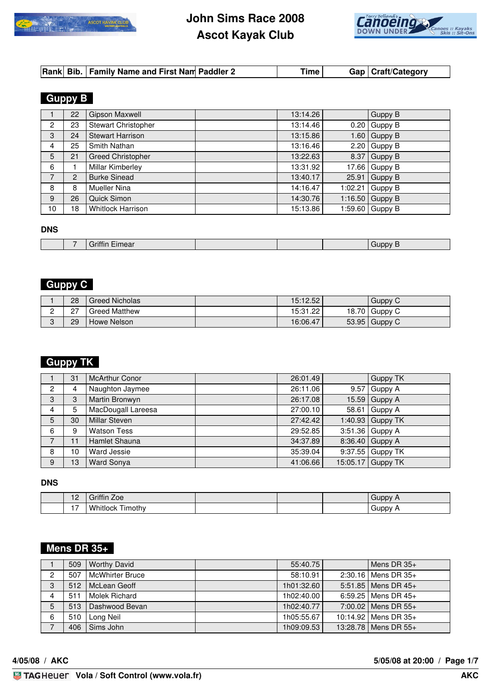

# **John Sims Race 2008 Ascot Kayak Club**



# **Guppy B**

|                | 22             | Gipson Maxwell             | 13:14.26 |         | Guppy B |
|----------------|----------------|----------------------------|----------|---------|---------|
| $\overline{2}$ | 23             | <b>Stewart Christopher</b> | 13:14.46 | 0.20    | Guppy B |
| 3              | 24             | <b>Stewart Harrison</b>    | 13:15.86 | 1.60    | Guppy B |
| $\overline{4}$ | 25             | Smith Nathan               | 13:16.46 | 2.20    | Guppy B |
| 5              | 21             | <b>Greed Christopher</b>   | 13:22.63 | 8.37    | Guppy B |
| 6              |                | Millar Kimberley           | 13:31.92 | 17.66   | Guppy B |
| 7              | $\overline{2}$ | <b>Burke Sinead</b>        | 13:40.17 | 25.91   | Guppy B |
| 8              | 8              | Mueller Nina               | 14:16.47 | 1:02.21 | Guppy B |
| 9              | 26             | Quick Simon                | 14:30.76 | 1:16.50 | Guppy B |
| 10             | 18             | <b>Whitlock Harrison</b>   | 15:13.86 | 1:59.60 | Guppy B |

#### **DNS**

| --<br>. . | $\overline{\phantom{a}}$<br>.co |  | <br>יוחרי<br>. r |
|-----------|---------------------------------|--|------------------|
|           |                                 |  |                  |

## **Guppy C**

| 28             | <b>Greed Nicholas</b> | 15:12.52 | Guppy C         |
|----------------|-----------------------|----------|-----------------|
| 67<br><u>.</u> | <b>Greed Matthew</b>  | 15:31.22 | 18.70 Guppy C   |
| 29             | Howe Nelson           | 16:06.47 | $53.95$ Guppy C |

## **Guppy TK**

|                | 31 | <b>McArthur Conor</b> | 26:01.49 |       | <b>Guppy TK</b>    |
|----------------|----|-----------------------|----------|-------|--------------------|
| $\overline{2}$ | 4  | Naughton Jaymee       | 26:11.06 | 9.57  | Guppy A            |
| 3              | 3  | Martin Bronwyn        | 26:17.08 | 15.59 | Guppy A            |
| 4              | 5  | MacDougall Lareesa    | 27:00.10 | 58.61 | Guppy A            |
| 5              | 30 | <b>Millar Steven</b>  | 27:42.42 |       | 1:40.93 Guppy TK   |
| 6              | 9  | <b>Watson Tess</b>    | 29:52.85 |       | $3:51.36$ Guppy A  |
| $\overline{7}$ | 11 | Hamlet Shauna         | 34:37.89 |       | 8:36.40 Guppy A    |
| 8              | 10 | Ward Jessie           | 35:39.04 |       | $9:37.55$ Guppy TK |
| 9              | 13 | Ward Sonya            | 41:06.66 |       | 15:05.17 Guppy TK  |

#### **DNS**

| $\overline{2}$<br>$\sim$ | 1.001<br>Zoe<br>.<br>ا ااا اا اک  |  | Guppy |
|--------------------------|-----------------------------------|--|-------|
| . –                      | - -<br>Whitlock<br><b>fimothy</b> |  | duppy |

## **Mens DR 35+**

|   | 509 | <b>Worthy David</b>    | 55:40.75   | Mens DR $35+$           |
|---|-----|------------------------|------------|-------------------------|
| 2 | 507 | <b>McWhirter Bruce</b> | 58:10.91   | $2:30.16$ Mens DR $35+$ |
| 3 | 512 | McLean Geoff           | 1h01:32.60 | 5:51.85   Mens DR 45+   |
| 4 | 511 | Molek Richard          | 1h02:40.00 | 6:59.25   Mens DR $45+$ |
| 5 | 513 | Dashwood Bevan         | 1h02:40.77 | 7:00.02   Mens DR 55+   |
| 6 | 510 | Long Neil              | 1h05:55.67 | 10:14.92   Mens DR 35+  |
|   | 406 | Sims John              | 1h09:09.53 | 13:28.78   Mens DR 55+  |

**4/05/08 / AKC 5/05/08 at 20:00 / Page 1/7**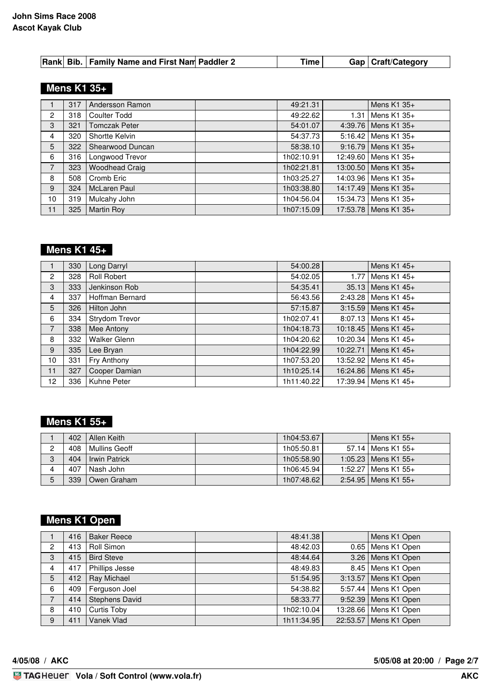## **Mens K1 35+**

|                | 317 | Andersson Ramon       | 49:21.31   |      | Mens $K1$ 35+          |
|----------------|-----|-----------------------|------------|------|------------------------|
| $\overline{2}$ | 318 | <b>Coulter Todd</b>   | 49:22.62   | 1.31 | Mens $K1$ 35+          |
| $\mathbf{3}$   | 321 | <b>Tomczak Peter</b>  | 54:01.07   |      | 4:39.76   Mens K1 35+  |
| 4              | 320 | Shortte Kelvin        | 54:37.73   |      | 5:16.42   Mens K1 35+  |
| 5              | 322 | Shearwood Duncan      | 58:38.10   |      | 9:16.79   Mens K1 35+  |
| 6              | 316 | Longwood Trevor       | 1h02:10.91 |      | 12:49.60 Mens K1 35+   |
| $\overline{7}$ | 323 | <b>Woodhead Craig</b> | 1h02:21.81 |      | 13:00.50   Mens K1 35+ |
| 8              | 508 | Cromb Eric            | 1h03:25.27 |      | 14:03.96   Mens K1 35+ |
| 9              | 324 | McLaren Paul          | 1h03:38.80 |      | 14:17.49   Mens K1 35+ |
| 10             | 319 | Mulcahy John          | 1h04:56.04 |      | 15:34.73   Mens K1 35+ |
| 11             | 325 | <b>Martin Roy</b>     | 1h07:15.09 |      | 17:53.78   Mens K1 35+ |

## **Mens K1 45+**

|                | 330 | Long Darryl         | 54:00.28   | Mens K1 45+             |
|----------------|-----|---------------------|------------|-------------------------|
| $\overline{2}$ | 328 | Roll Robert         | 54:02.05   | 1.77   Mens K1 45+      |
| 3              | 333 | Jenkinson Rob       | 54:35.41   | 35.13   Mens K1 45+     |
| 4              | 337 | Hoffman Bernard     | 56:43.56   | 2:43.28   Mens K1 45+   |
| 5              | 326 | Hilton John         | 57:15.87   | $3:15.59$   Mens K1 45+ |
| 6              | 334 | Strydom Trevor      | 1h02:07.41 | $8:07.13$ Mens K1 45+   |
| $\overline{7}$ | 338 | Mee Antony          | 1h04:18.73 | 10:18.45   Mens K1 45+  |
| 8              | 332 | <b>Walker Glenn</b> | 1h04:20.62 | 10:20.34   Mens K1 45+  |
| 9              | 335 | Lee Bryan           | 1h04:22.99 | 10:22.71   Mens K1 45+  |
| 10             | 331 | Fry Anthony         | 1h07:53.20 | 13:52.92   Mens K1 45+  |
| 11             | 327 | Cooper Damian       | 1h10:25.14 | 16:24.86   Mens K1 45+  |
| 12             | 336 | Kuhne Peter         | 1h11:40.22 | 17:39.94   Mens K1 45+  |

### **Mens K1 55+**

|   | 402 | Allen Keith   | 1h04:53.67 | Mens K1 55+           |
|---|-----|---------------|------------|-----------------------|
| ∩ | 408 | Mullins Geoff | 1h05:50.81 | 57.14   Mens K1 55+   |
| 3 | 404 | Irwin Patrick | 1h05:58.90 | 1:05.23   Mens K1 55+ |
|   | 407 | l Nash John   | 1h06:45.94 | 1:52.27   Mens K1 55+ |
| 5 | 339 | Owen Graham   | 1h07:48.62 | 2:54.95   Mens K1 55+ |

# **Mens K1 Open**

|                | 416 | <b>Baker Reece</b>    | 48:41.38   | Mens K1 Open            |
|----------------|-----|-----------------------|------------|-------------------------|
| 2              | 413 | Roll Simon            | 48:42.03   | 0.65   Mens K1 Open     |
| 3              | 415 | <b>Bird Steve</b>     | 48:44.64   | 3.26   Mens K1 Open     |
| $\overline{4}$ | 417 | Phillips Jesse        | 48:49.83   | 8.45   Mens K1 Open     |
| 5              | 412 | Ray Michael           | 51:54.95   | 3:13.57   Mens K1 Open  |
| 6              | 409 | Ferguson Joel         | 54:38.82   | 5:57.44   Mens K1 Open  |
| 7              | 414 | <b>Stephens David</b> | 58:33.77   | 9:52.39   Mens K1 Open  |
| 8              | 410 | <b>Curtis Toby</b>    | 1h02:10.04 | 13:28.66   Mens K1 Open |
| 9              | 411 | Vanek Vlad            | 1h11:34.95 | 22:53.57   Mens K1 Open |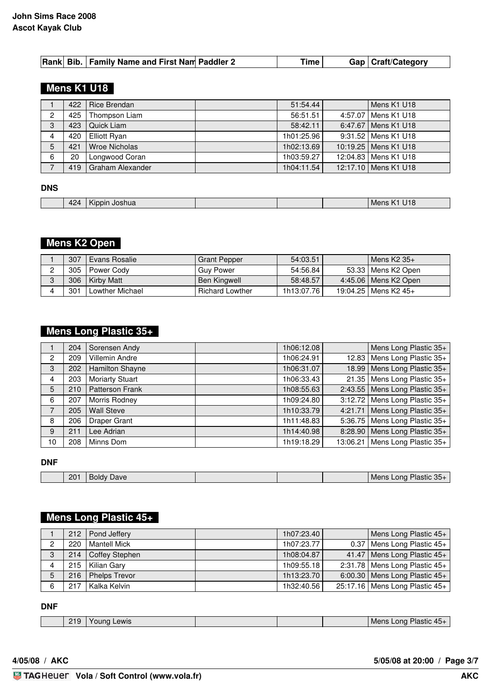## **Mens K1 U18**

|   | 422 | Rice Brendan         | 51:54.44   | Mens K1 U18            |
|---|-----|----------------------|------------|------------------------|
| 2 | 425 | Thompson Liam        | 56:51.51   | 4:57.07   Mens K1 U18  |
| 3 | 423 | Quick Liam           | 58:42.11   | 6:47.67   Mens K1 U18  |
| 4 | 420 | <b>Elliott Ryan</b>  | 1h01:25.96 | 9:31.52   Mens K1 U18  |
| 5 | 421 | <b>Wroe Nicholas</b> | 1h02:13.69 | 10:19.25   Mens K1 U18 |
| 6 | 20  | Longwood Coran       | 1h03:59.27 | 12:04.83   Mens K1 U18 |
|   | 419 | Graham Alexander     | 1h04:11.54 | 12:17.10   Mens K1 U18 |

#### **DNS**

| . |  | 424 | $\cdots$<br>Joshua<br>.<br>Kinnin |  |  |  | Mens<br>$\mathbf{z}$<br>UIO |
|---|--|-----|-----------------------------------|--|--|--|-----------------------------|
|---|--|-----|-----------------------------------|--|--|--|-----------------------------|

## **Mens K2 Open**

| 307 | Evans Rosalie     | <b>Grant Pepper</b>    | 54:03.51   | l Mens K2 35+          |
|-----|-------------------|------------------------|------------|------------------------|
| 305 | Power Cody        | <b>Guy Power</b>       | 54:56.84   | 53.33   Mens K2 Open   |
| 306 | <b>Kirby Matt</b> | <b>Ben Kingwell</b>    | 58:48.57   | 4:45.06   Mens K2 Open |
| 301 | Lowther Michael   | <b>Richard Lowther</b> | 1h13:07.76 | 19:04.25   Mens K2 45+ |

## **Mens Long Plastic 35+**

|                | 204 | Sorensen Andy          | 1h06:12.08 |       | Mens Long Plastic 35+             |
|----------------|-----|------------------------|------------|-------|-----------------------------------|
| $\overline{2}$ | 209 | <b>Villemin Andre</b>  | 1h06:24.91 | 12.83 | Mens Long Plastic 35+             |
| 3              | 202 | Hamilton Shayne        | 1h06:31.07 |       | 18.99 Mens Long Plastic 35+       |
| 4              | 203 | <b>Moriarty Stuart</b> | 1h06:33.43 |       | 21.35   Mens Long Plastic $35+$   |
| 5              | 210 | Patterson Frank        | 1h08:55.63 |       | 2:43.55   Mens Long Plastic 35+   |
| 6              | 207 | Morris Rodney          | 1h09:24.80 |       | $3:12.72$ Mens Long Plastic $35+$ |
| $\overline{7}$ | 205 | <b>Wall Steve</b>      | 1h10:33.79 |       | 4:21.71   Mens Long Plastic 35+   |
| 8              | 206 | <b>Draper Grant</b>    | 1h11:48.83 |       | 5:36.75   Mens Long Plastic 35+   |
| 9              | 211 | Lee Adrian             | 1h14:40.98 |       | 8:28.90   Mens Long Plastic 35+   |
| 10             | 208 | Minns Dom              | 1h19:18.29 |       | 13:06.21 Mens Long Plastic $35+$  |

#### **DNF**

|  | 201 | Dave<br>nıav |  | $\Omega$<br>→ Plastic 30.<br>Lona<br>Mens |
|--|-----|--------------|--|-------------------------------------------|
|  |     |              |  |                                           |

#### **Mens Long Plastic 45+**

|   |     | 212   Pond Jeffery   | 1h07:23.40 | Mens Long Plastic 45+             |
|---|-----|----------------------|------------|-----------------------------------|
| 2 | 220 | Mantell Mick         | 1h07:23.77 | $0.37$ Mens Long Plastic 45+      |
| 3 |     | 214   Coffey Stephen | 1h08:04.87 | 41.47 Mens Long Plastic $45+$     |
| 4 |     | 215   Kilian Gary    | 1h09:55.18 | 2:31.78   Mens Long Plastic $45+$ |
| 5 | 216 | <b>Phelps Trevor</b> | 1h13:23.70 | 6:00.30   Mens Long Plastic 45+   |
| 6 | 217 | Kalka Kelvin         | 1h32:40.56 | 25:17.16   Mens Long Plastic 45+  |

**DNF**

| 219<br>- | ewis |  | .<br><b>M</b> C<br>ona<br>hastic<br>᠇ၪ |
|----------|------|--|----------------------------------------|
|          |      |  |                                        |

**4/05/08 / AKC 5/05/08 at 20:00 / Page 3/7**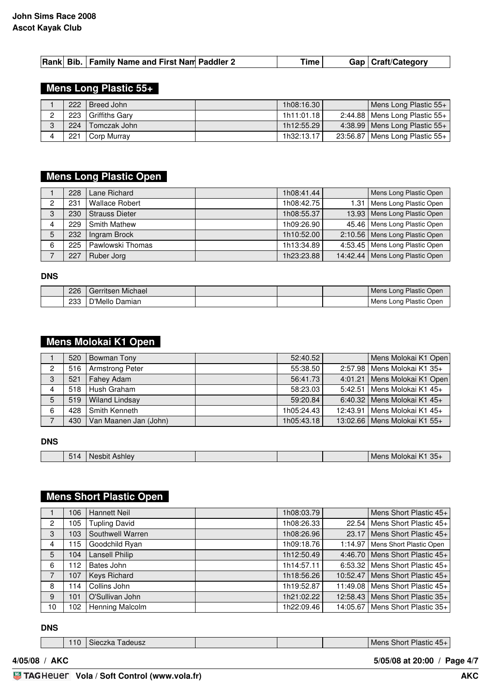|  | Rank Bib.   Family Name and First Nam Paddler 2 |  | Time . |  | Gap   Craft/Category |
|--|-------------------------------------------------|--|--------|--|----------------------|
|--|-------------------------------------------------|--|--------|--|----------------------|

### **Mens Long Plastic 55+**

|        | 222 | Breed John     | 1h08:16.30 | Mens Long Plastic 55+             |
|--------|-----|----------------|------------|-----------------------------------|
| C      | 223 | Griffiths Gary | 1h11:01.18 | 2:44.88   Mens Long Plastic $55+$ |
| O<br>ت | 224 | Tomczak John   | 1h12:55.29 | $4:38.99$ Mens Long Plastic $55+$ |
|        | 221 | Corp Murray    | 1h32:13.17 | 23:56.87   Mens Long Plastic 55+  |

## **Mens Long Plastic Open**

|   | 228 | Lane Richard          | 1h08:41.44 |      | Mens Long Plastic Open            |
|---|-----|-----------------------|------------|------|-----------------------------------|
| C | 231 | <b>Wallace Robert</b> | 1h08:42.75 | 1.31 | Mens Long Plastic Open            |
| 3 | 230 | <b>Strauss Dieter</b> | 1h08:55.37 |      | 13.93   Mens Long Plastic Open    |
|   | 229 | <b>Smith Mathew</b>   | 1h09:26.90 |      | 45.46   Mens Long Plastic Open    |
| 5 | 232 | Ingram Brock          | 1h10:52.00 |      | 2:10.56   Mens Long Plastic Open  |
| 6 | 225 | Pawlowski Thomas      | 1h13:34.89 |      | 4:53.45   Mens Long Plastic Open  |
|   | 227 | Ruber Jorg            | 1h23:23.88 |      | 14:42.44   Mens Long Plastic Open |

#### **DNS**

| 226 | ' Gerritsen Michael |  | I Mens Long Plastic Open |
|-----|---------------------|--|--------------------------|
| 233 | Mello Damian'،      |  | Mens Long Plastic Open   |

## **Mens Molokai K1 Open**

|                | 520   | Bowman Tony           | 52:40.52   | Mens Molokai K1 Open           |
|----------------|-------|-----------------------|------------|--------------------------------|
| $\overline{2}$ | 516   | Armstrong Peter       | 55:38.50   | 2:57.98   Mens Molokai K1 35+  |
| 3              | 521   | Fahey Adam            | 56:41.73   | 4:01.21   Mens Molokai K1 Open |
| 4              | 518 l | Hush Graham           | 58:23.03   | 5:42.51   Mens Molokai K1 45+  |
| 5              | 519   | <b>Wiland Lindsay</b> | 59:20.84   | 6:40.32 Mens Molokai K1 45+    |
| 6              | 428   | Smith Kenneth         | 1h05:24.43 | 12:43.91   Mens Molokai K1 45+ |
|                | 430   | Van Maanen Jan (John) | 1h05:43.18 | 13:02.66   Mens Molokai K1 55+ |

#### **DNS**

| $-$<br>Ashlev<br><b>Nesbit</b><br>. .<br>O <sup>T</sup> |  |  |  | $35 -$<br>. K<br>Molokai<br>Mens |
|---------------------------------------------------------|--|--|--|----------------------------------|
|---------------------------------------------------------|--|--|--|----------------------------------|

## **Mens Short Plastic Open**

|                | 106 | <b>Hannett Neil</b>   | 1h08:03.79 |          | Mens Short Plastic 45+             |
|----------------|-----|-----------------------|------------|----------|------------------------------------|
| $\overline{2}$ | 105 | <b>Tupling David</b>  | 1h08:26.33 |          | 22.54   Mens Short Plastic 45+     |
| 3              | 103 | Southwell Warren      | 1h08:26.96 | 23.17    | Mens Short Plastic 45+             |
| 4              | 115 | Goodchild Ryan        | 1h09:18.76 | 1:14.97  | Mens Short Plastic Open            |
| 5              | 104 | <b>Lansell Philip</b> | 1h12:50.49 |          | 4:46.70   Mens Short Plastic $45+$ |
| 6              | 112 | Bates John            | 1h14:57.11 |          | $6:53.32$ Mens Short Plastic $45+$ |
| 7              | 107 | Keys Richard          | 1h18:56.26 |          | 10:52.47   Mens Short Plastic 45+  |
| 8              | 14  | Collins John          | 1h19:52.87 | 11:49.08 | Mens Short Plastic 45+             |
| 9              | 101 | O'Sullivan John       | 1h21:02.22 |          | 12:58.43   Mens Short Plastic 35+  |
| 10             | 102 | Henning Malcolm       | 1h22:09.46 |          | 14:05.67   Mens Short Plastic 35+  |

### **DNS**

| 10 | adeusz<br>Sieczka |  | Plastic<br>Short:<br>Mens<br>1 <sub>6</sub><br>—⊢⊖ |
|----|-------------------|--|----------------------------------------------------|
|    |                   |  |                                                    |

**4/05/08 / AKC 5/05/08 at 20:00 / Page 4/7**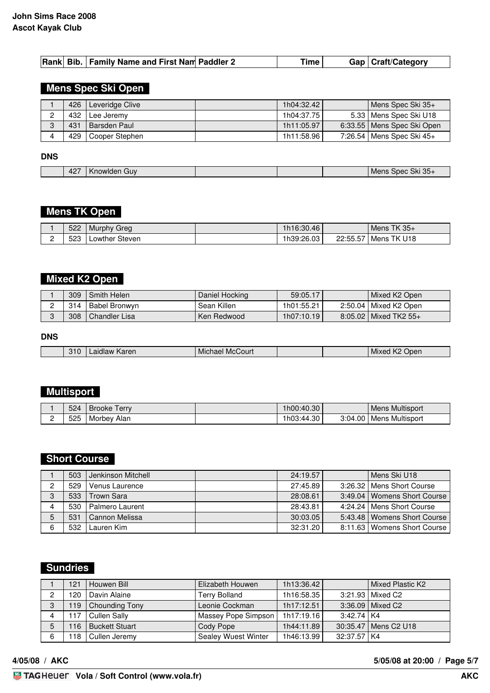|  |  | Rank Bib.   Family Name and First Nam Paddler 2 |  | Time |  | Gap   Craft/Category |
|--|--|-------------------------------------------------|--|------|--|----------------------|
|--|--|-------------------------------------------------|--|------|--|----------------------|

### **Mens Spec Ski Open**

|   | 426 | Leveridge Clive  | 1h04:32.42 | Mens Spec Ski 35+            |
|---|-----|------------------|------------|------------------------------|
| C | 432 | I Lee Jeremv     | 1h04:37.75 | 5.33   Mens Spec Ski U18     |
| C | 431 | l Barsden Paul   | 1h11:05.97 | 6:33.55   Mens Spec Ski Open |
|   | 429 | I Cooper Stephen | 1h11:58.96 | 7:26.54   Mens Spec Ski 45+  |

#### **DNS**

| 427 | GUV<br>aowiden <i>'</i> |  | Spec Ski 35-<br>- - -<br>Men |
|-----|-------------------------|--|------------------------------|

# **Mens TK Open**

|   | 522 | Greg<br>, Murphy | 1h16:30.46 |          | Mens TK $35+$ |
|---|-----|------------------|------------|----------|---------------|
| - | 523 | Lowther Steven   | 1h39:26.03 | 22:55.57 | I Mens TK U18 |

### **Mixed K2 Open**

| 309 | Smith Helen     | Daniel Hocking | 59:05.17   | Mixed K2 Open           |
|-----|-----------------|----------------|------------|-------------------------|
| 314 | Babel Bronwyn   | Sean Killen    | 1h01:55.21 | 2:50.04   Mixed K2 Open |
| 308 | I Chandler Lisa | Ken Redwood    | 1h07:10.19 | 8:05.02   Mixed TK2 55+ |

#### **DNS**

| <br>310<br>McCourt<br>Karen<br>Doen<br>Michael<br>⊥ MIXer<br>aidlaw |  |  |  |  |  |  |
|---------------------------------------------------------------------|--|--|--|--|--|--|
|---------------------------------------------------------------------|--|--|--|--|--|--|

## **Multisport**

|   | 524 | erry.<br>Brooke | 1h00:40.30 |         | l Mens Multisport |
|---|-----|-----------------|------------|---------|-------------------|
| - | 525 | Morbev<br>Alan  | 1h03:44.30 | 3:04.00 | l Mens Multisport |

### **Short Course**

|   | 503 | Jenkinson Mitchell | 24:19.57 | Mens Ski U18                  |
|---|-----|--------------------|----------|-------------------------------|
|   | 529 | Venus Laurence     | 27:45.89 | 3:26.32   Mens Short Course   |
| 3 | 533 | Trown Sara         | 28:08.61 | 3:49.04   Womens Short Course |
|   | 530 | Palmero Laurent    | 28:43.81 | 4:24.24   Mens Short Course   |
|   | 531 | Cannon Melissa     | 30:03.05 | 5:43.48   Womens Short Course |
|   | 532 | Lauren Kim         | 32:31.20 | 8:11.63   Womens Short Course |

### **Sundries**

|   | 121 | Houwen Bill           | Elizabeth Houwen           | 1h13:36.42 |              | Mixed Plastic K2       |
|---|-----|-----------------------|----------------------------|------------|--------------|------------------------|
|   | 120 | Davin Alaine          | <b>Terry Bolland</b>       | 1h16:58.35 |              | 3:21.93   Mixed C2     |
| 3 | 119 | Chounding Tony        | Leonie Cockman             | 1h17:12.51 |              | 3:36.09   Mixed C2     |
|   | 117 | <b>Cullen Sally</b>   | Massey Pope Simpson        | 1h17:19.16 | $3:42.74$ K4 |                        |
|   | 116 | <b>Buckett Stuart</b> | Cody Pope                  | 1h44:11.89 |              | 30:35.47   Mens C2 U18 |
| 6 | 118 | Cullen Jeremy         | <b>Sealey Wuest Winter</b> | 1h46:13.99 | 32:37.57 K4  |                        |

**4/05/08 / AKC 5/05/08 at 20:00 / Page 5/7**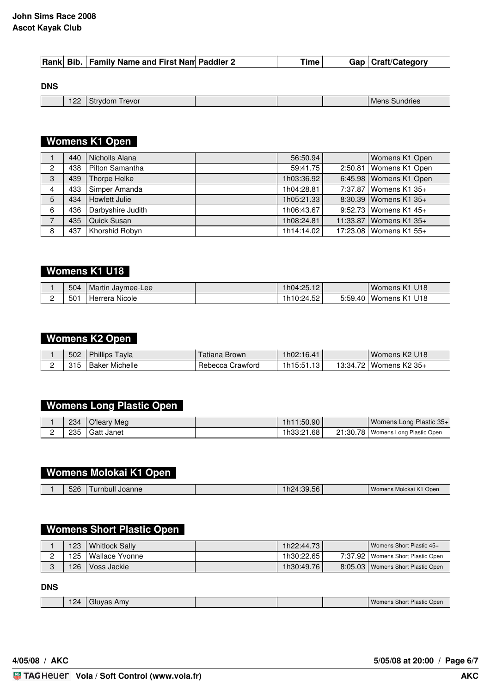#### **John Sims Race 2008 Ascot Kayak Club**

|  |  |  | Rank Bib.   Family Name and First Nam Paddler 2 |  | 'ime |  | Gap   Craft/Category |
|--|--|--|-------------------------------------------------|--|------|--|----------------------|
|--|--|--|-------------------------------------------------|--|------|--|----------------------|

#### **DNS**

| <i><u><b>I</b></u></i> revor<br>------<br>Mens<br><b>Sundries</b><br>JUH<br>- - - - | 122<br>-- |  |  |
|-------------------------------------------------------------------------------------|-----------|--|--|
|-------------------------------------------------------------------------------------|-----------|--|--|

# **Womens K1 Open**

|                | 440 | Nicholls Alana    | 56:50.94   | Womens K1 Open           |
|----------------|-----|-------------------|------------|--------------------------|
| $\mathbf{2}$   | 438 | Pilton Samantha   | 59:41.75   | 2:50.81   Womens K1 Open |
| 3              | 439 | Thorpe Helke      | 1h03:36.92 | 6:45.98   Womens K1 Open |
| $\overline{4}$ | 433 | Simper Amanda     | 1h04:28.81 | 7:37.87   Womens K1 35+  |
| 5              | 434 | Howlett Julie     | 1h05:21.33 | 8:30.39   Womens K1 35+  |
| 6              | 436 | Darbyshire Judith | 1h06:43.67 | 9:52.73   Womens K1 45+  |
| 7              | 435 | Quick Susan       | 1h08:24.81 | 11:33.87 Womens K1 35+   |
| 8              | 437 | Khorshid Robyn    | 1h14:14.02 | 17:23.08   Womens K1 55+ |

### **Womens K1 U18**

| 504 | Martin Jaymee-Lee | 1h04:25.12 | Womens K1 U18                          |
|-----|-------------------|------------|----------------------------------------|
| 501 | Herrera Nicole    | 1h10:24.52 | 5:59.40   Womens K1<br>U <sub>18</sub> |

#### **Womens K2 Open**

| 502         | Phillips<br>⊺avla | l atıana Brown   | 1h02:16.41 |        | Womens K2 U18   |
|-------------|-------------------|------------------|------------|--------|-----------------|
| 04 E<br>. . | Michelle<br>Baker | Rebecca Crawford | 1h15:51.13 | 13:34. | Womens $K2$ 35+ |

### **Womens Long Plastic Open**

|   | 234 | O'leary Meg             | 1h11:50.90 | Womens Long Plastic 35+             |
|---|-----|-------------------------|------------|-------------------------------------|
| - | 235 | <sup>1</sup> Gatt Janet | 1h33:21.68 | 21:30.78   Womens Long Plastic Open |

### **Womens Molokai K1 Open**

| 526<br>$ \sim$<br>Womens Molokai K.<br>1/4<br>$\sim$<br>.:39.<br>Joanne<br>urnbull<br>Open<br>וכי<br>.56<br>ाट |
|----------------------------------------------------------------------------------------------------------------|
|----------------------------------------------------------------------------------------------------------------|

## **Womens Short Plastic Open**

|   | 123 | l Whitlock Sallv | 1h22:44.73 | Womens Short Plastic 45+            |
|---|-----|------------------|------------|-------------------------------------|
| - | 125 | I Wallace Yvonne | 1h30:22.65 | 7:37.92   Womens Short Plastic Open |
|   | 126 | ' Voss Jackie I  | 1h30:49.76 | 8:05.03   Womens Short Plastic Open |

**DNS**

| 124<br>. . - | -<br>Amv<br>aluvas. |  | Womens Short Plastic Open |
|--------------|---------------------|--|---------------------------|